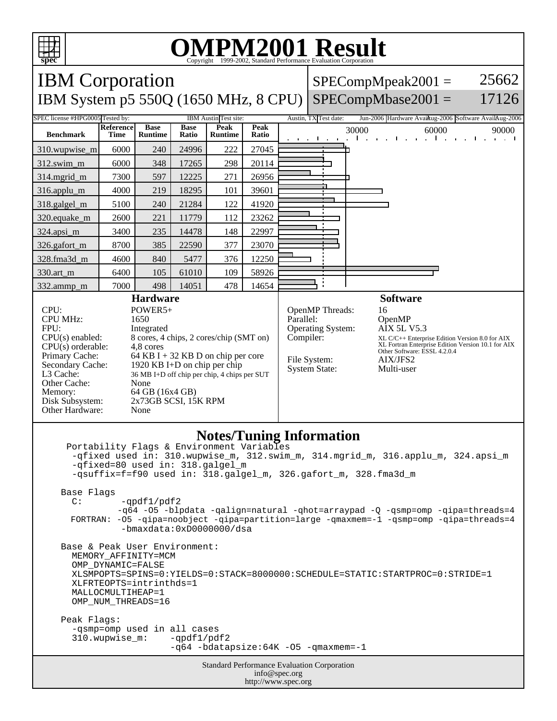

## **OMPM2001 Result**

Copyright 1999-2002, Standard Performance Evaluation Corporation IBM Corporation 25662  $SPECompMpeak2001 =$ IBM System p5 550Q (1650 MHz, 8 CPU)  $SPECompMbase2001 =$ 17126 SPEC license #HPG0005 Tested by: IBM Austin Test site: Austin, TX Test date: Jun-2006 Hardware Avail: Austin, 2006 Austin TX Test date: **Base Base Reference Peak Peak Peak** 30000 60000 90000<br>**Ratio** 30000 60000 90000 **Benchmark Runtime Time Ratio Runtime** 310.wupwise\_m 6000 240 24996 222 27045 312.swim\_m 6000 348 17265 298 20114 314.mgrid\_m | 7300 | 597 | 12225 | 271 | 26956 316.applu\_m 4000 219 18295 101 39601 318.galgel\_m | 5100 | 240 | 21284 | 122 | 41920 320.equake\_m | 2600 | 221 | 11779 | 112 | 23262 324.apsi\_m | 3400 | 235 | 14478 | 148 | 22997 326.gafort\_m | 8700 | 385 | 22590 | 377 | 23070 328.fma3d\_m | 4600 | 840 | 5477 | 376 | 12250 330.art\_m 6400 105 61010 109 58926 ÷ 332.ammp\_m | 7000 | 498 | 14051 | 478 | 14654 **Hardware Software** CPU: POWER5+<br>CPU MHz: 1650 OpenMP Threads: 16<br>Parallel: 0p CPU MHz: OpenMP<br>AIX 5L V5.3 FPU: Integrated Operating System: CPU(s) enabled: 8 cores, 4 chips, 2 cores/chip (SMT on) Compiler: XL C/C++ Enterprise Edition Version 8.0 for AIX XL Fortran Enterprise Edition Version 10.1 for AIX Other Software: ESSL 4.2.0.4 CPU(s) orderable:<br>Primary Cache: Primary Cache: 64 KB I + 32 KB D on chip per core<br>Secondary Cache: 1920 KB I+D on chip per chip File System: AIX/JFS2 1920 KB I+D on chip per chip System State: Multi-user L3 Cache: 36 MB I+D off chip per chip, 4 chips per SUT Other Cache: None Memory: 64 GB (16x4 GB)<br>Disk Subsystem: 2x73GB SCSI, 15 2x73GB SCSI, 15K RPM Other Hardware: None

## **Notes/Tuning Information**

Standard Performance Evaluation Corporation info@spec.org http://www.spec.org Portability Flags & Environment Variables -qfixed used in: 310.wupwise\_m, 312.swim\_m, 314.mgrid\_m, 316.applu\_m, 324.apsi\_m -qfixed=80 used in: 318.galgel\_m -qsuffix=f=f90 used in: 318.galgel\_m, 326.gafort\_m, 328.fma3d\_m Base Flags  $C:$  -qpdf1/pdf2 -q64 -O5 -blpdata -qalign=natural -qhot=arraypad -Q -qsmp=omp -qipa=threads=4 FORTRAN: -O5 -qipa=noobject -qipa=partition=large -qmaxmem=-1 -qsmp=omp -qipa=threads=4 -bmaxdata:0xD0000000/dsa Base & Peak User Environment: MEMORY\_AFFINITY=MCM OMP\_DYNAMIC=FALSE XLSMPOPTS=SPINS=0:YIELDS=0:STACK=8000000:SCHEDULE=STATIC:STARTPROC=0:STRIDE=1 XLFRTEOPTS=intrinthds=1 MALLOCMULTIHEAP=1 OMP\_NUM\_THREADS=16 Peak Flags: -qsmp=omp used in all cases 310.wupwise\_m: -qpdf1/pdf2 -q64 -bdatapsize:64K -O5 -qmaxmem=-1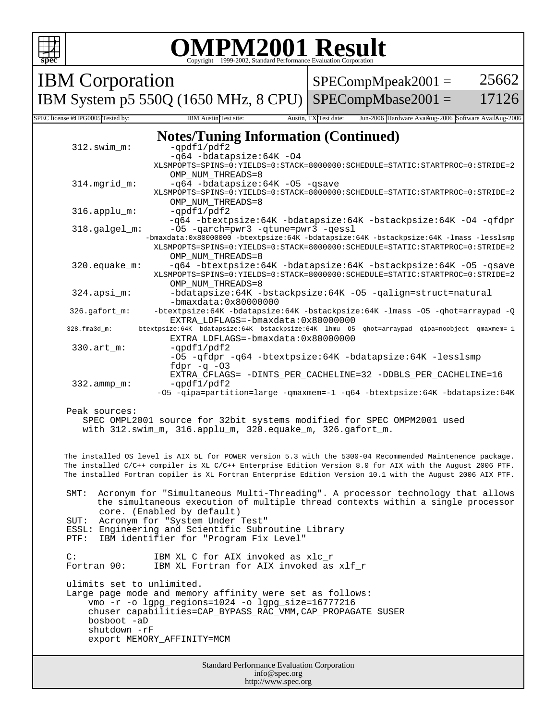|                                                                                                                                                                                                          |                                                                                                                                                                                                                                                        | <b>OMPM2001 Result</b><br>Copyright ©1999-2002, Standard Performance Evaluation Corporation                                                                                                                 |  |                               |                                                                                                                                                                                                                                                                                                                                    |       |
|----------------------------------------------------------------------------------------------------------------------------------------------------------------------------------------------------------|--------------------------------------------------------------------------------------------------------------------------------------------------------------------------------------------------------------------------------------------------------|-------------------------------------------------------------------------------------------------------------------------------------------------------------------------------------------------------------|--|-------------------------------|------------------------------------------------------------------------------------------------------------------------------------------------------------------------------------------------------------------------------------------------------------------------------------------------------------------------------------|-------|
| <b>IBM</b> Corporation                                                                                                                                                                                   |                                                                                                                                                                                                                                                        |                                                                                                                                                                                                             |  | 25662<br>$SPECompMpeak2001 =$ |                                                                                                                                                                                                                                                                                                                                    |       |
|                                                                                                                                                                                                          |                                                                                                                                                                                                                                                        | IBM System p5 550Q (1650 MHz, 8 CPU)                                                                                                                                                                        |  |                               | $SPECompMbase2001 =$                                                                                                                                                                                                                                                                                                               | 17126 |
| SPEC license #HPG0005 Tested by:                                                                                                                                                                         |                                                                                                                                                                                                                                                        | IBM Austin Test site:                                                                                                                                                                                       |  | Austin, TX Test date:         | Jun-2006 Hardware Avaikug-2006 Software AvailAug-2006                                                                                                                                                                                                                                                                              |       |
|                                                                                                                                                                                                          | $312.swin_m$ :                                                                                                                                                                                                                                         | <b>Notes/Tuning Information (Continued)</b><br>$-qpdf1/pdf2$<br>-q64 -bdatapsize:64K -04                                                                                                                    |  |                               | XLSMPOPTS=SPINS=0:YIELDS=0:STACK=8000000:SCHEDULE=STATIC:STARTPROC=0:STRIDE=2                                                                                                                                                                                                                                                      |       |
|                                                                                                                                                                                                          | 314.mgrid_m:                                                                                                                                                                                                                                           | OMP NUM THREADS=8<br>-q64 -bdatapsize:64K -05 -qsave<br>OMP NUM THREADS=8                                                                                                                                   |  |                               | XLSMPOPTS=SPINS=0:YIELDS=0:STACK=8000000:SCHEDULE=STATIC:STARTPROC=0:STRIDE=2                                                                                                                                                                                                                                                      |       |
|                                                                                                                                                                                                          | $316.\text{applu}_m$ :                                                                                                                                                                                                                                 | $-qpdf1/pdf2$                                                                                                                                                                                               |  |                               | -q64 -btextpsize:64K -bdatapsize:64K -bstackpsize:64K -04 -qfdpr                                                                                                                                                                                                                                                                   |       |
|                                                                                                                                                                                                          | -05 - qarch=pwr3 - qtune=pwr3 - qessl<br>318.galgel_m:<br>-bmaxdata:0x80000000 -btextpsize:64K -bdatapsize:64K -bstackpsize:64K -lmass -lesslsmp<br>XLSMPOPTS=SPINS=0:YIELDS=0:STACK=8000000:SCHEDULE=STATIC:STARTPROC=0:STRIDE=2<br>OMP NUM THREADS=8 |                                                                                                                                                                                                             |  |                               |                                                                                                                                                                                                                                                                                                                                    |       |
|                                                                                                                                                                                                          | 320.equake_m:<br>-q64 -btextpsize:64K -bdatapsize:64K -bstackpsize:64K -05 -qsave<br>XLSMPOPTS=SPINS=0:YIELDS=0:STACK=8000000:SCHEDULE=STATIC:STARTPROC=0:STRIDE=2<br>OMP NUM THREADS=8                                                                |                                                                                                                                                                                                             |  |                               |                                                                                                                                                                                                                                                                                                                                    |       |
|                                                                                                                                                                                                          | -bdatapsize:64K -bstackpsize:64K -05 -qalign=struct=natural<br>$324.\n$ apsi_m:<br>-bmaxdata:0x80000000                                                                                                                                                |                                                                                                                                                                                                             |  |                               |                                                                                                                                                                                                                                                                                                                                    |       |
|                                                                                                                                                                                                          | 326.gafort_m:                                                                                                                                                                                                                                          | EXTRA LDFLAGS = - bmaxdata: 0x80000000                                                                                                                                                                      |  |                               | -btextpsize:64K -bdatapsize:64K -bstackpsize:64K -lmass -05 -ghot=arraypad -Q                                                                                                                                                                                                                                                      |       |
| -btextpsize:64K -bdatapsize:64K -bstackpsize:64K -lhmu -05 -qhot=arraypad -qipa=noobject -qmaxmem=-1<br>328.fma3d_m:<br>EXTRA LDFLAGS = - bmaxdata: 0x80000000                                           |                                                                                                                                                                                                                                                        |                                                                                                                                                                                                             |  |                               |                                                                                                                                                                                                                                                                                                                                    |       |
|                                                                                                                                                                                                          | $330.\arctm$ :                                                                                                                                                                                                                                         | -qpdf1/pdf2<br>fdpr $-q$ $-03$                                                                                                                                                                              |  |                               | -05 -qfdpr -q64 -btextpsize:64K -bdatapsize:64K -lesslsmp<br>EXTRA_CFLAGS= -DINTS_PER_CACHELINE=32 -DDBLS_PER_CACHELINE=16                                                                                                                                                                                                         |       |
|                                                                                                                                                                                                          | $332.\text{ammp}_m$ :                                                                                                                                                                                                                                  | $-qpdf1/pdf2$                                                                                                                                                                                               |  |                               | -05 -gipa=partition=large -gmaxmem=-1 -g64 -btextpsize:64K -bdatapsize:64K                                                                                                                                                                                                                                                         |       |
|                                                                                                                                                                                                          | Peak sources:                                                                                                                                                                                                                                          | with 312.swim_m, 316.applu_m, 320.equake_m, 326.gafort_m.                                                                                                                                                   |  |                               | SPEC OMPL2001 source for 32bit systems modified for SPEC OMPM2001 used                                                                                                                                                                                                                                                             |       |
|                                                                                                                                                                                                          |                                                                                                                                                                                                                                                        |                                                                                                                                                                                                             |  |                               | The installed OS level is AIX 5L for POWER version 5.3 with the 5300-04 Recommended Maintenence package.<br>The installed C/C++ compiler is XL C/C++ Enterprise Edition Version 8.0 for AIX with the August 2006 PTF.<br>The installed Fortran copiler is XL Fortran Enterprise Edition Version 10.1 with the August 2006 AIX PTF. |       |
| Acronym for "Simultaneous Multi-Threading". A processor technology that allows<br>SMT:<br>the simultaneous execution of multiple thread contexts within a single processor<br>core. (Enabled by default) |                                                                                                                                                                                                                                                        |                                                                                                                                                                                                             |  |                               |                                                                                                                                                                                                                                                                                                                                    |       |
| SUT:<br>PTF:                                                                                                                                                                                             |                                                                                                                                                                                                                                                        | Acronym for "System Under Test"<br>ESSL: Engineering and Scientific Subroutine Library<br>IBM identifier for "Program Fix Level"                                                                            |  |                               |                                                                                                                                                                                                                                                                                                                                    |       |
| $\mathsf{C}$ :                                                                                                                                                                                           | Fortran 90:                                                                                                                                                                                                                                            | IBM XL C for AIX invoked as xlc_r<br>IBM XL Fortran for AIX invoked as xlf r                                                                                                                                |  |                               |                                                                                                                                                                                                                                                                                                                                    |       |
|                                                                                                                                                                                                          | ulimits set to unlimited.<br>bosboot -aD<br>shutdown -rF                                                                                                                                                                                               | Large page mode and memory affinity were set as follows:<br>vmo -r -o lgpg_regions=1024 -o lgpg_size=16777216<br>chuser capabilities=CAP BYPASS RAC VMM, CAP PROPAGATE \$USER<br>export MEMORY_AFFINITY=MCM |  |                               |                                                                                                                                                                                                                                                                                                                                    |       |
| Standard Performance Evaluation Corporation<br>info@spec.org<br>http://www.spec.org                                                                                                                      |                                                                                                                                                                                                                                                        |                                                                                                                                                                                                             |  |                               |                                                                                                                                                                                                                                                                                                                                    |       |